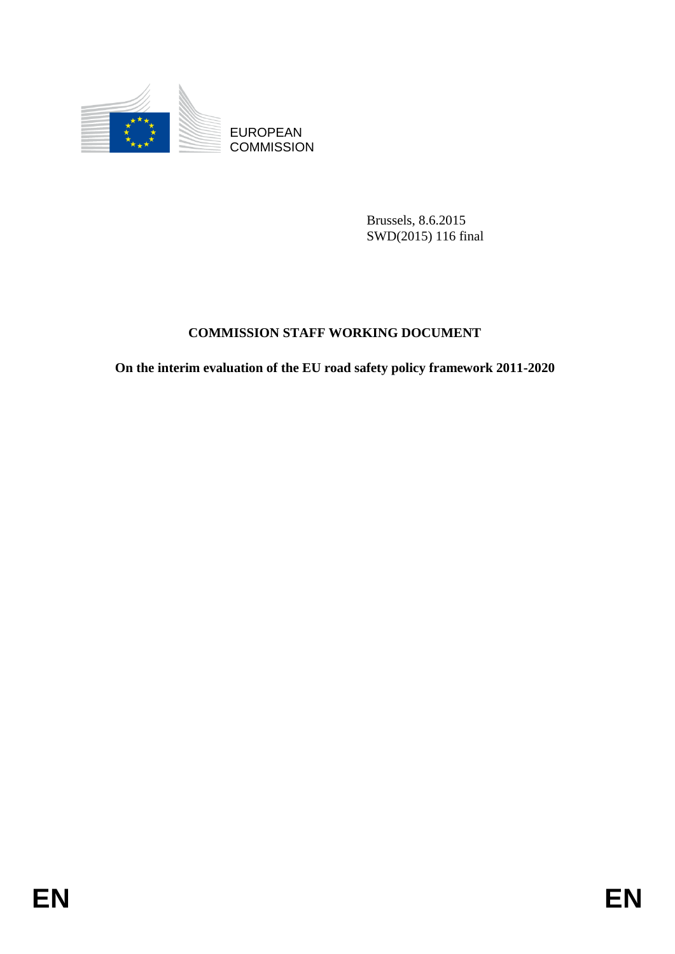

**COMMISSION** 

Brussels, 8.6.2015 SWD(2015) 116 final

# **COMMISSION STAFF WORKING DOCUMENT**

EUROPEAN<br>
EUROPEAN<br>
ENGEL EXPRESSION<br>
ENGEL EN EUROPEAN<br>
ENGEL EN PRESSION<br>
ENGEL ET FOR SERVE DOCUMENT<br>
On the interim evaluation of the EU road safety policy framework 2011-2020<br>
EN **On the interim evaluation of the EU road safety policy framework 2011-2020**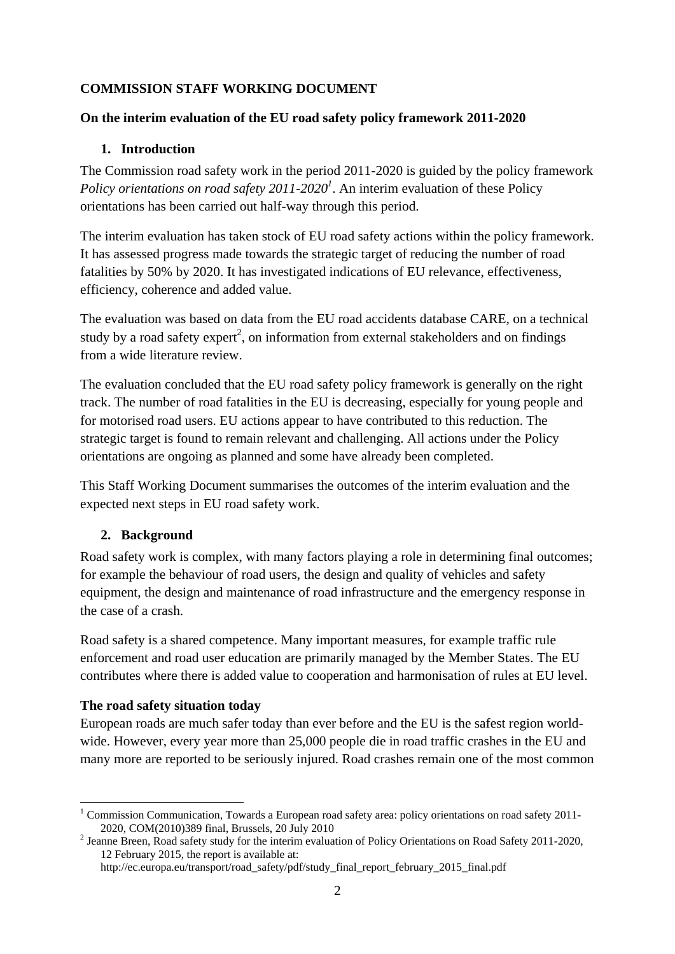# **COMMISSION STAFF WORKING DOCUMENT**

#### **On the interim evaluation of the EU road safety policy framework 2011-2020**

## **1. Introduction**

The Commission road safety work in the period 2011-2020 is guided by the policy framework *Policy orientations on road safety 2011-2020<sup>1</sup>* . An interim evaluation of these Policy orientations has been carried out half-way through this period.

The interim evaluation has taken stock of EU road safety actions within the policy framework. It has assessed progress made towards the strategic target of reducing the number of road fatalities by 50% by 2020. It has investigated indications of EU relevance, effectiveness, efficiency, coherence and added value.

The evaluation was based on data from the EU road accidents database CARE, on a technical study by a road safety expert<sup>2</sup>, on information from external stakeholders and on findings from a wide literature review.

The evaluation concluded that the EU road safety policy framework is generally on the right track. The number of road fatalities in the EU is decreasing, especially for young people and for motorised road users. EU actions appear to have contributed to this reduction. The strategic target is found to remain relevant and challenging. All actions under the Policy orientations are ongoing as planned and some have already been completed.

This Staff Working Document summarises the outcomes of the interim evaluation and the expected next steps in EU road safety work.

#### **2. Background**

Road safety work is complex, with many factors playing a role in determining final outcomes; for example the behaviour of road users, the design and quality of vehicles and safety equipment, the design and maintenance of road infrastructure and the emergency response in the case of a crash.

Road safety is a shared competence. Many important measures, for example traffic rule enforcement and road user education are primarily managed by the Member States. The EU contributes where there is added value to cooperation and harmonisation of rules at EU level.

#### **The road safety situation today**

European roads are much safer today than ever before and the EU is the safest region worldwide. However, every year more than 25,000 people die in road traffic crashes in the EU and many more are reported to be seriously injured. Road crashes remain one of the most common

<sup>1</sup> <sup>1</sup> Commission Communication, Towards a European road safety area: policy orientations on road safety 2011-2020, COM(2010)389 final, Brussels, 20 July 2010

 $2$  Jeanne Breen, Road safety study for the interim evaluation of Policy Orientations on Road Safety 2011-2020, 12 February 2015, the report is available at:

http://ec.europa.eu/transport/road\_safety/pdf/study\_final\_report\_february\_2015\_final.pdf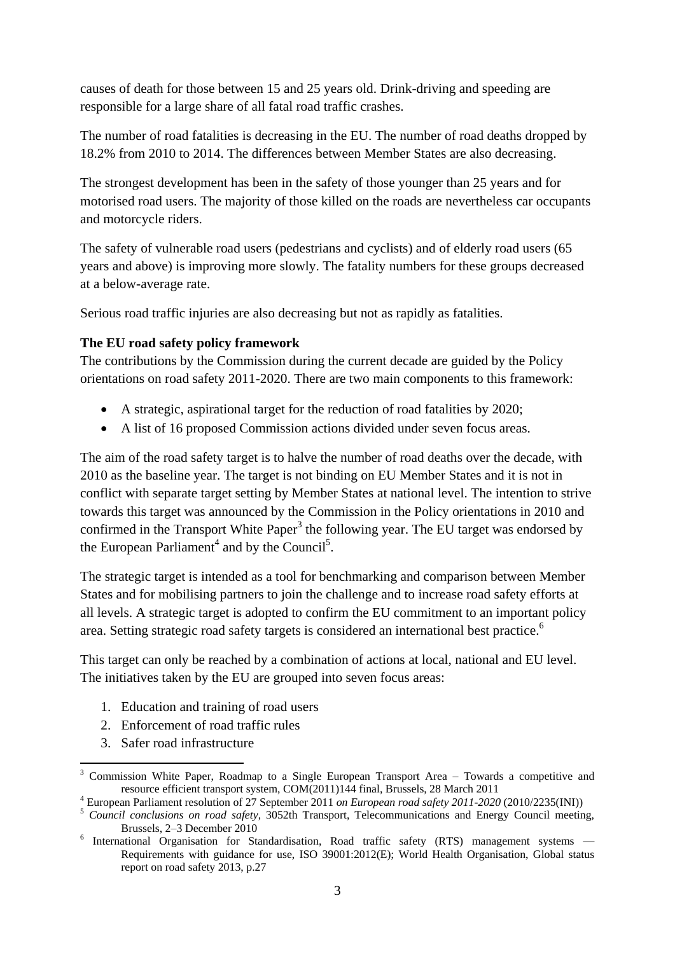causes of death for those between 15 and 25 years old. Drink-driving and speeding are responsible for a large share of all fatal road traffic crashes.

The number of road fatalities is decreasing in the EU. The number of road deaths dropped by 18.2% from 2010 to 2014. The differences between Member States are also decreasing.

The strongest development has been in the safety of those younger than 25 years and for motorised road users. The majority of those killed on the roads are nevertheless car occupants and motorcycle riders.

The safety of vulnerable road users (pedestrians and cyclists) and of elderly road users (65 years and above) is improving more slowly. The fatality numbers for these groups decreased at a below-average rate.

Serious road traffic injuries are also decreasing but not as rapidly as fatalities.

# **The EU road safety policy framework**

The contributions by the Commission during the current decade are guided by the Policy orientations on road safety 2011-2020. There are two main components to this framework:

- A strategic, aspirational target for the reduction of road fatalities by 2020;
- A list of 16 proposed Commission actions divided under seven focus areas.

The aim of the road safety target is to halve the number of road deaths over the decade, with 2010 as the baseline year. The target is not binding on EU Member States and it is not in conflict with separate target setting by Member States at national level. The intention to strive towards this target was announced by the Commission in the Policy orientations in 2010 and confirmed in the Transport White Paper<sup>3</sup> the following year. The EU target was endorsed by the European Parliament<sup>4</sup> and by the Council<sup>5</sup>.

The strategic target is intended as a tool for benchmarking and comparison between Member States and for mobilising partners to join the challenge and to increase road safety efforts at all levels. A strategic target is adopted to confirm the EU commitment to an important policy area. Setting strategic road safety targets is considered an international best practice.<sup>6</sup>

This target can only be reached by a combination of actions at local, national and EU level. The initiatives taken by the EU are grouped into seven focus areas:

- 1. Education and training of road users
- 2. Enforcement of road traffic rules
- 3. Safer road infrastructure

<sup>1</sup>  $3$  Commission White Paper, Roadmap to a Single European Transport Area – Towards a competitive and resource efficient transport system, COM(2011)144 final, Brussels, 28 March 2011

<sup>4</sup> European Parliament resolution of 27 September 2011 *on European road safety 2011-2020* (2010/2235(INI))

<sup>5</sup> *Council conclusions on road safety*, 3052th Transport, Telecommunications and Energy Council meeting, Brussels, 2–3 December 2010

<sup>&</sup>lt;sup>6</sup> International Organisation for Standardisation, Road traffic safety (RTS) management systems -Requirements with guidance for use, ISO 39001:2012(E); World Health Organisation, Global status report on road safety 2013, p.27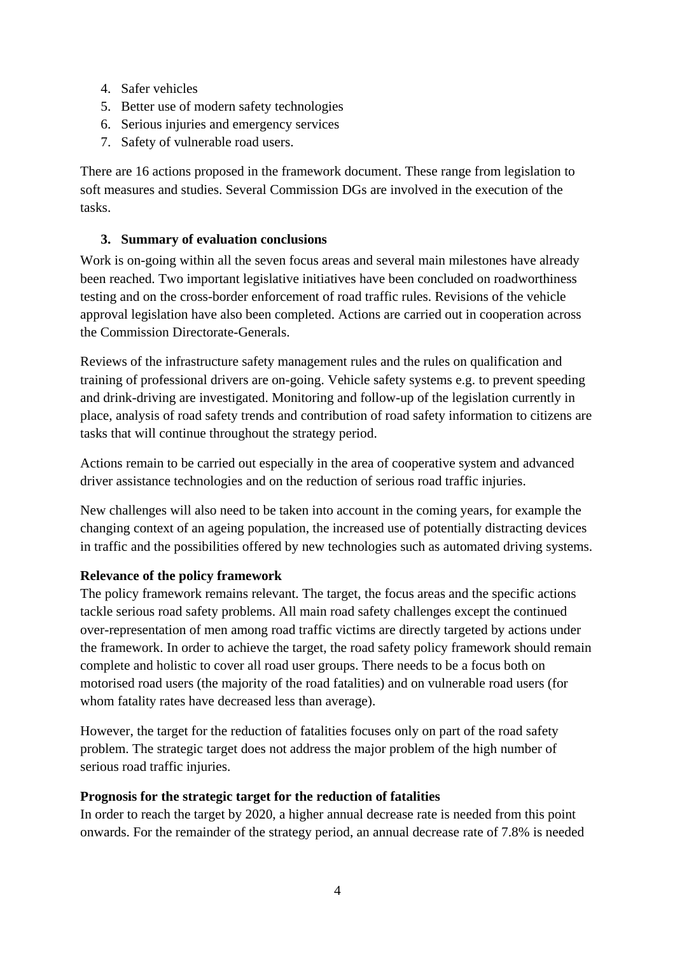- 4. Safer vehicles
- 5. Better use of modern safety technologies
- 6. Serious injuries and emergency services
- 7. Safety of vulnerable road users.

There are 16 actions proposed in the framework document. These range from legislation to soft measures and studies. Several Commission DGs are involved in the execution of the tasks.

### **3. Summary of evaluation conclusions**

Work is on-going within all the seven focus areas and several main milestones have already been reached. Two important legislative initiatives have been concluded on roadworthiness testing and on the cross-border enforcement of road traffic rules. Revisions of the vehicle approval legislation have also been completed. Actions are carried out in cooperation across the Commission Directorate-Generals.

Reviews of the infrastructure safety management rules and the rules on qualification and training of professional drivers are on-going. Vehicle safety systems e.g. to prevent speeding and drink-driving are investigated. Monitoring and follow-up of the legislation currently in place, analysis of road safety trends and contribution of road safety information to citizens are tasks that will continue throughout the strategy period.

Actions remain to be carried out especially in the area of cooperative system and advanced driver assistance technologies and on the reduction of serious road traffic injuries.

New challenges will also need to be taken into account in the coming years, for example the changing context of an ageing population, the increased use of potentially distracting devices in traffic and the possibilities offered by new technologies such as automated driving systems.

#### **Relevance of the policy framework**

The policy framework remains relevant. The target, the focus areas and the specific actions tackle serious road safety problems. All main road safety challenges except the continued over-representation of men among road traffic victims are directly targeted by actions under the framework. In order to achieve the target, the road safety policy framework should remain complete and holistic to cover all road user groups. There needs to be a focus both on motorised road users (the majority of the road fatalities) and on vulnerable road users (for whom fatality rates have decreased less than average).

However, the target for the reduction of fatalities focuses only on part of the road safety problem. The strategic target does not address the major problem of the high number of serious road traffic injuries.

#### **Prognosis for the strategic target for the reduction of fatalities**

In order to reach the target by 2020, a higher annual decrease rate is needed from this point onwards. For the remainder of the strategy period, an annual decrease rate of 7.8% is needed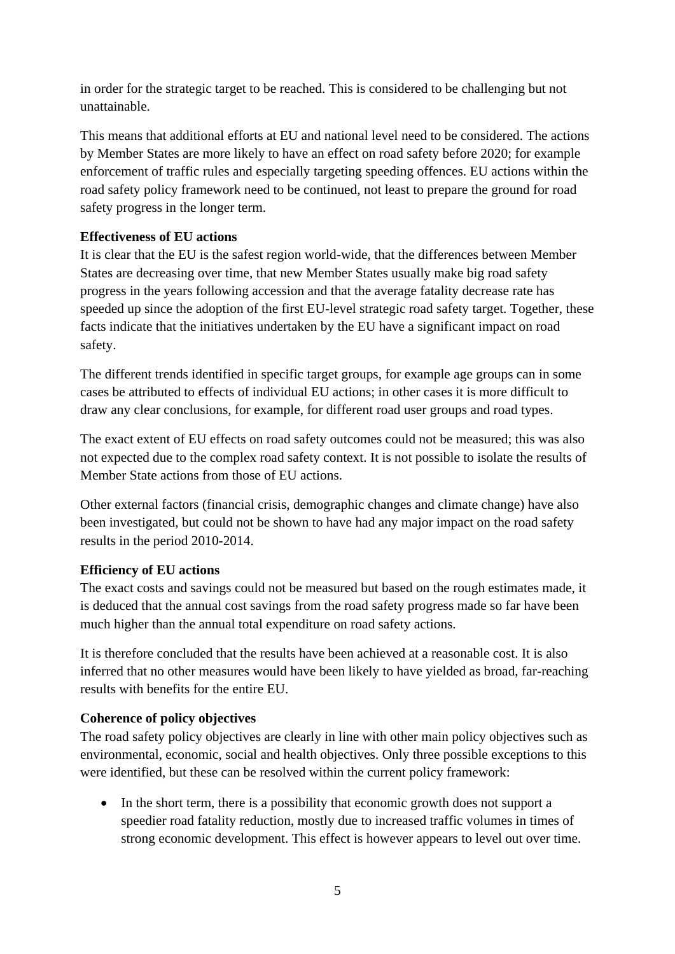in order for the strategic target to be reached. This is considered to be challenging but not unattainable.

This means that additional efforts at EU and national level need to be considered. The actions by Member States are more likely to have an effect on road safety before 2020; for example enforcement of traffic rules and especially targeting speeding offences. EU actions within the road safety policy framework need to be continued, not least to prepare the ground for road safety progress in the longer term.

# **Effectiveness of EU actions**

It is clear that the EU is the safest region world-wide, that the differences between Member States are decreasing over time, that new Member States usually make big road safety progress in the years following accession and that the average fatality decrease rate has speeded up since the adoption of the first EU-level strategic road safety target. Together, these facts indicate that the initiatives undertaken by the EU have a significant impact on road safety.

The different trends identified in specific target groups, for example age groups can in some cases be attributed to effects of individual EU actions; in other cases it is more difficult to draw any clear conclusions, for example, for different road user groups and road types.

The exact extent of EU effects on road safety outcomes could not be measured; this was also not expected due to the complex road safety context. It is not possible to isolate the results of Member State actions from those of EU actions.

Other external factors (financial crisis, demographic changes and climate change) have also been investigated, but could not be shown to have had any major impact on the road safety results in the period 2010-2014.

#### **Efficiency of EU actions**

The exact costs and savings could not be measured but based on the rough estimates made, it is deduced that the annual cost savings from the road safety progress made so far have been much higher than the annual total expenditure on road safety actions.

It is therefore concluded that the results have been achieved at a reasonable cost. It is also inferred that no other measures would have been likely to have yielded as broad, far-reaching results with benefits for the entire EU.

#### **Coherence of policy objectives**

The road safety policy objectives are clearly in line with other main policy objectives such as environmental, economic, social and health objectives. Only three possible exceptions to this were identified, but these can be resolved within the current policy framework:

• In the short term, there is a possibility that economic growth does not support a speedier road fatality reduction, mostly due to increased traffic volumes in times of strong economic development. This effect is however appears to level out over time.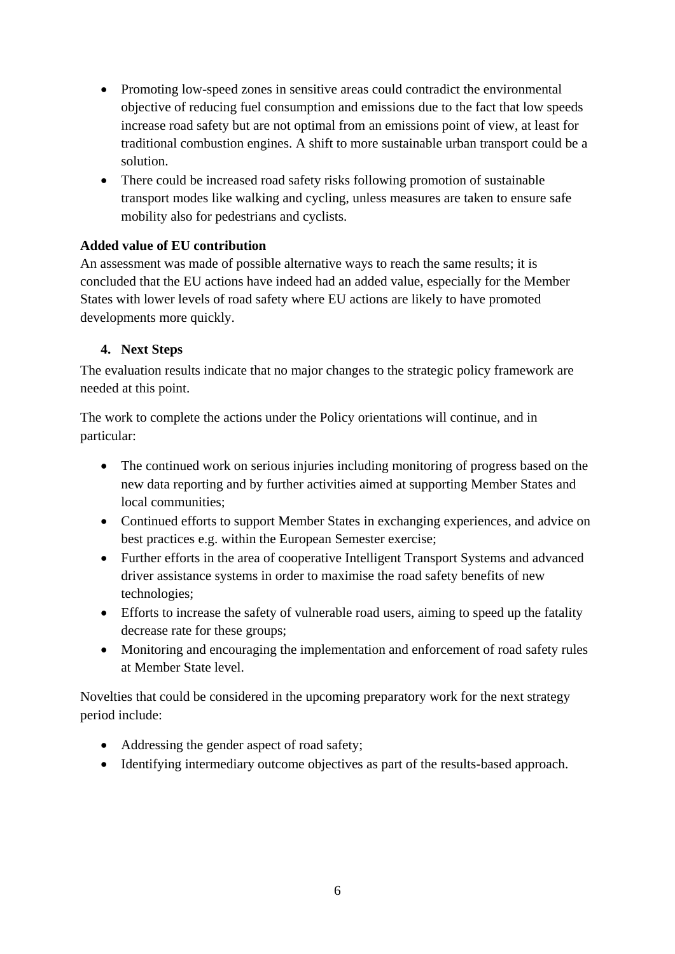- Promoting low-speed zones in sensitive areas could contradict the environmental objective of reducing fuel consumption and emissions due to the fact that low speeds increase road safety but are not optimal from an emissions point of view, at least for traditional combustion engines. A shift to more sustainable urban transport could be a solution.
- There could be increased road safety risks following promotion of sustainable transport modes like walking and cycling, unless measures are taken to ensure safe mobility also for pedestrians and cyclists.

## **Added value of EU contribution**

An assessment was made of possible alternative ways to reach the same results; it is concluded that the EU actions have indeed had an added value, especially for the Member States with lower levels of road safety where EU actions are likely to have promoted developments more quickly.

#### **4. Next Steps**

The evaluation results indicate that no major changes to the strategic policy framework are needed at this point.

The work to complete the actions under the Policy orientations will continue, and in particular:

- The continued work on serious injuries including monitoring of progress based on the new data reporting and by further activities aimed at supporting Member States and local communities;
- Continued efforts to support Member States in exchanging experiences, and advice on best practices e.g. within the European Semester exercise;
- Further efforts in the area of cooperative Intelligent Transport Systems and advanced driver assistance systems in order to maximise the road safety benefits of new technologies;
- Efforts to increase the safety of vulnerable road users, aiming to speed up the fatality decrease rate for these groups;
- Monitoring and encouraging the implementation and enforcement of road safety rules at Member State level.

Novelties that could be considered in the upcoming preparatory work for the next strategy period include:

- Addressing the gender aspect of road safety;
- Identifying intermediary outcome objectives as part of the results-based approach.